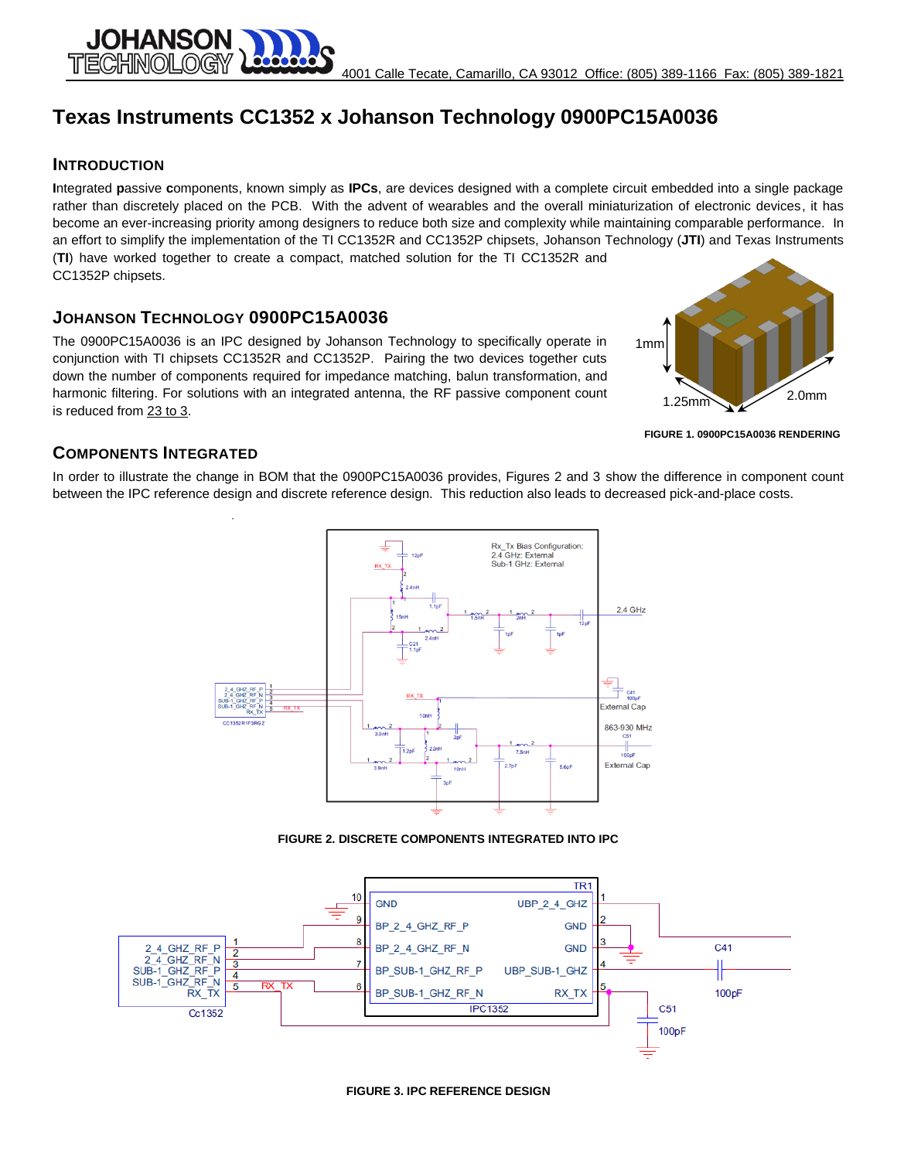# **Texas Instruments CC1352 x Johanson Technology 0900PC15A0036**

#### **INTRODUCTION**

**JOHANSON** 

**I**ntegrated **p**assive **c**omponents, known simply as **IPCs**, are devices designed with a complete circuit embedded into a single package rather than discretely placed on the PCB. With the advent of wearables and the overall miniaturization of electronic devices, it has become an ever-increasing priority among designers to reduce both size and complexity while maintaining comparable performance. In an effort to simplify the implementation of the TI CC1352R and CC1352P chipsets, Johanson Technology (**JTI**) and Texas Instruments (**TI**) have worked together to create a compact, matched solution for the TI CC1352R and CC1352P chipsets.

# **JOHANSON TECHNOLOGY 0900PC15A0036**

The 0900PC15A0036 is an IPC designed by Johanson Technology to specifically operate in conjunction with TI chipsets CC1352R and CC1352P. Pairing the two devices together cuts down the number of components required for impedance matching, balun transformation, and harmonic filtering. For solutions with an integrated antenna, the RF passive component count is reduced from 23 to 3.



**FIGURE 1. 0900PC15A0036 RENDERING**

### **COMPONENTS INTEGRATED**

In order to illustrate the change in BOM that the 0900PC15A0036 provides, Figures 2 and 3 show the difference in component count between the IPC reference design and discrete reference design. This reduction also leads to decreased pick-and-place costs.



**FIGURE 2. DISCRETE COMPONENTS INTEGRATED INTO IPC**